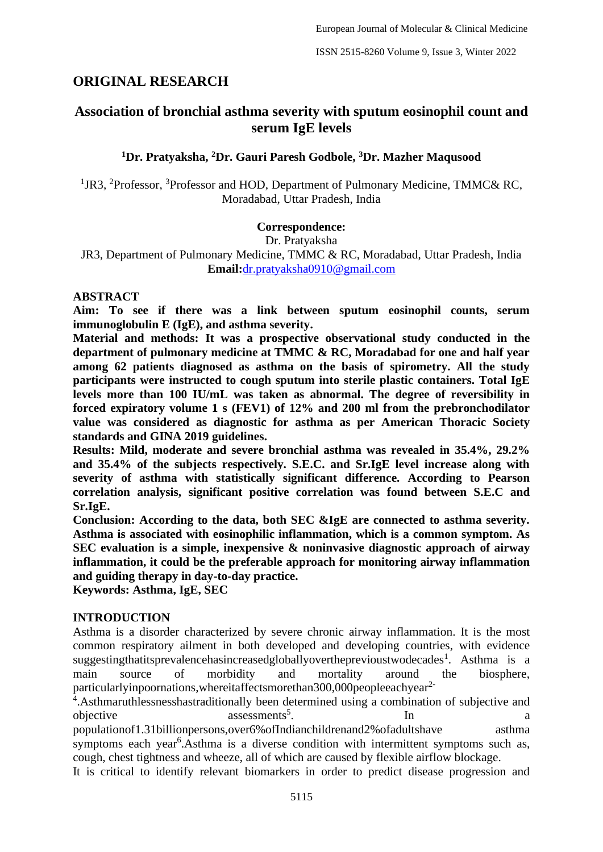# **ORIGINAL RESEARCH**

## **Association of bronchial asthma severity with sputum eosinophil count and serum IgE levels**

## **<sup>1</sup>Dr. Pratyaksha, <sup>2</sup>Dr. Gauri Paresh Godbole, <sup>3</sup>Dr. Mazher Maqusood**

<sup>1</sup>JR3, <sup>2</sup>Professor, <sup>3</sup>Professor and HOD, Department of Pulmonary Medicine, TMMC& RC, Moradabad, Uttar Pradesh, India

#### **Correspondence:**

Dr. Pratyaksha

JR3, Department of Pulmonary Medicine, TMMC & RC, Moradabad, Uttar Pradesh, India **Email:**[dr.pratyaksha0910@gmail.com](mailto:dr.pratyaksha0910@gmail.com)

#### **ABSTRACT**

**Aim: To see if there was a link between sputum eosinophil counts, serum immunoglobulin E (IgE), and asthma severity.**

**Material and methods: It was a prospective observational study conducted in the department of pulmonary medicine at TMMC & RC, Moradabad for one and half year among 62 patients diagnosed as asthma on the basis of spirometry. All the study participants were instructed to cough sputum into sterile plastic containers. Total IgE levels more than 100 IU/mL was taken as abnormal. The degree of reversibility in forced expiratory volume 1 s (FEV1) of 12% and 200 ml from the prebronchodilator value was considered as diagnostic for asthma as per American Thoracic Society standards and GINA 2019 guidelines.**

**Results: Mild, moderate and severe bronchial asthma was revealed in 35.4%, 29.2% and 35.4% of the subjects respectively. S.E.C. and Sr.IgE level increase along with severity of asthma with statistically significant difference. According to Pearson correlation analysis, significant positive correlation was found between S.E.C and Sr.IgE.**

**Conclusion: According to the data, both SEC &IgE are connected to asthma severity. Asthma is associated with eosinophilic inflammation, which is a common symptom. As SEC evaluation is a simple, inexpensive & noninvasive diagnostic approach of airway inflammation, it could be the preferable approach for monitoring airway inflammation and guiding therapy in day-to-day practice.**

**Keywords: Asthma, IgE, SEC**

## **INTRODUCTION**

Asthma is a disorder characterized by severe chronic airway inflammation. It is the most common respiratory ailment in both developed and developing countries, with evidence suggestingthatitsprevalencehasincreasedgloballyovertheprevioustwodecades<sup>1</sup>. Asthma is a main source of morbidity and mortality around the biosphere, particularlyinpoornations, whereitaffectsmorethan300,000peopleeachyear<sup>2-</sup>

<sup>4</sup>. Asthmaruthlessnesshastraditionally been determined using a combination of subjective and objective assessments<sup>5</sup>. . In a latter that is not a latter than  $\ln$ populationof1.31billionpersons,over6%ofIndianchildrenand2%ofadultshave asthma symptoms each year<sup>6</sup>.Asthma is a diverse condition with intermittent symptoms such as, cough, chest tightness and wheeze, all of which are caused by flexible airflow blockage.

It is critical to identify relevant biomarkers in order to predict disease progression and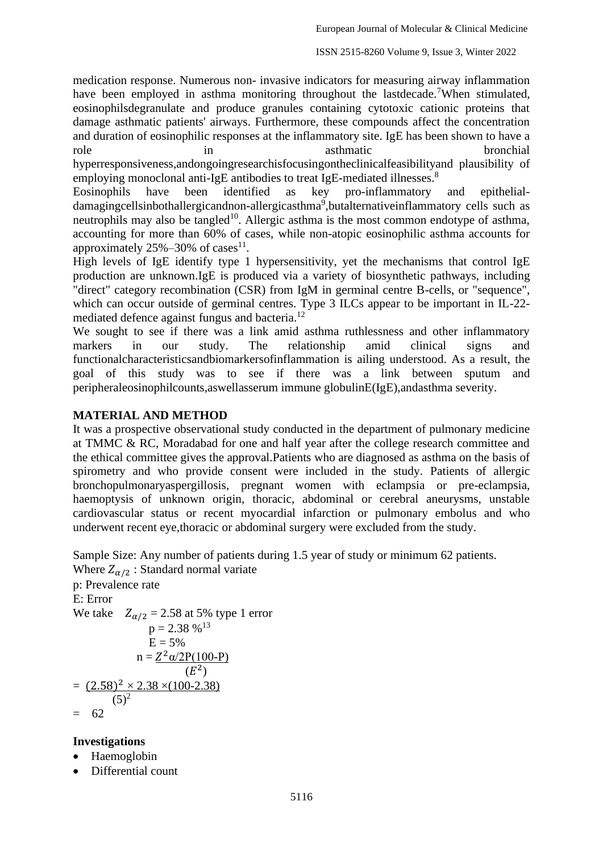medication response. Numerous non- invasive indicators for measuring airway inflammation have been employed in asthma monitoring throughout the lastdecade.<sup>7</sup>When stimulated, eosinophilsdegranulate and produce granules containing cytotoxic cationic proteins that damage asthmatic patients' airways. Furthermore, these compounds affect the concentration and duration of eosinophilic responses at the inflammatory site. IgE has been shown to have a role in asthmatic bronchial hyperresponsiveness,andongoingresearchisfocusingontheclinicalfeasibilityand plausibility of

employing monoclonal anti-IgE antibodies to treat IgE-mediated illnesses.<sup>8</sup>

Eosinophils have been identified as key pro-inflammatory and epithelialdamagingcellsinbothallergicandnon-allergicasthma<sup>9</sup>, butalternativeinflammatory cells such as neutrophils may also be tangled<sup>10</sup>. Allergic asthma is the most common endotype of asthma, accounting for more than 60% of cases, while non-atopic eosinophilic asthma accounts for approximately  $25\% - 30\%$  of cases<sup>11</sup>.

High levels of IgE identify type 1 hypersensitivity, yet the mechanisms that control IgE production are unknown.IgE is produced via a variety of biosynthetic pathways, including "direct" category recombination (CSR) from IgM in germinal centre B-cells, or "sequence", which can occur outside of germinal centres. Type 3 ILCs appear to be important in IL-22mediated defence against fungus and bacteria.<sup>12</sup>

We sought to see if there was a link amid asthma ruthlessness and other inflammatory markers in our study. The relationship amid clinical signs and functionalcharacteristicsandbiomarkersofinflammation is ailing understood. As a result, the goal of this study was to see if there was a link between sputum and peripheraleosinophilcounts,aswellasserum immune globulinE(IgE),andasthma severity.

#### **MATERIAL AND METHOD**

It was a prospective observational study conducted in the department of pulmonary medicine at TMMC & RC, Moradabad for one and half year after the college research committee and the ethical committee gives the approval.Patients who are diagnosed as asthma on the basis of spirometry and who provide consent were included in the study. Patients of allergic bronchopulmonaryaspergillosis, pregnant women with eclampsia or pre-eclampsia, haemoptysis of unknown origin, thoracic, abdominal or cerebral aneurysms, unstable cardiovascular status or recent myocardial infarction or pulmonary embolus and who underwent recent eye,thoracic or abdominal surgery were excluded from the study.

Sample Size: Any number of patients during 1.5 year of study or minimum 62 patients. Where  $Z_{\alpha/2}$ : Standard normal variate

p: Prevalence rate E: Error We take  $Z_{\alpha/2} = 2.58$  at 5% type 1 error  $p = 2.38 \%$ <sup>13</sup>  $E = 5%$  $n = \frac{Z^2 \alpha}{2P(100-P)}$  $(E)$ 2 )  $=$   $(2.58)^2 \times 2.38 \times (100-2.38)$  $(5)^2$  $= 62$ 

#### **Investigations**

- Haemoglobin
- Differential count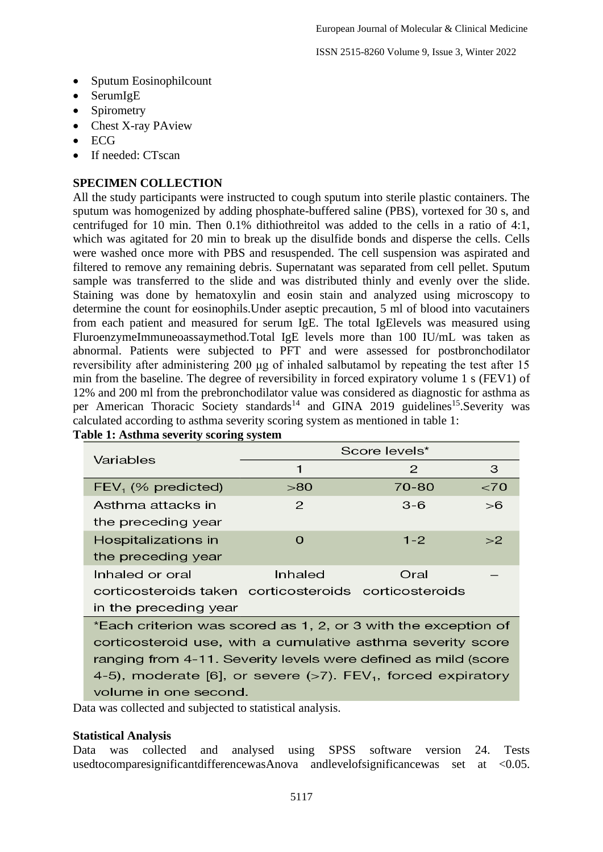ISSN 2515-8260 Volume 9, Issue 3, Winter 2022

- Sputum Eosinophilcount
- SerumIgE
- Spirometry
- Chest X-ray PAview
- $\bullet$  ECG
- If needed: CTscan

## **SPECIMEN COLLECTION**

All the study participants were instructed to cough sputum into sterile plastic containers. The sputum was homogenized by adding phosphate-buffered saline (PBS), vortexed for 30 s, and centrifuged for 10 min. Then 0.1% dithiothreitol was added to the cells in a ratio of 4:1, which was agitated for 20 min to break up the disulfide bonds and disperse the cells. Cells were washed once more with PBS and resuspended. The cell suspension was aspirated and filtered to remove any remaining debris. Supernatant was separated from cell pellet. Sputum sample was transferred to the slide and was distributed thinly and evenly over the slide. Staining was done by hematoxylin and eosin stain and analyzed using microscopy to determine the count for eosinophils.Under aseptic precaution, 5 ml of blood into vacutainers from each patient and measured for serum IgE. The total IgElevels was measured using FluroenzymeImmuneoassaymethod.Total IgE levels more than 100 IU/mL was taken as abnormal. Patients were subjected to PFT and were assessed for postbronchodilator reversibility after administering 200 μg of inhaled salbutamol by repeating the test after 15 min from the baseline. The degree of reversibility in forced expiratory volume 1 s (FEV1) of 12% and 200 ml from the prebronchodilator value was considered as diagnostic for asthma as per American Thoracic Society standards<sup>14</sup> and GINA 2019 guidelines<sup>15</sup>. Severity was calculated according to asthma severity scoring system as mentioned in table 1: **Table 1: Asthma severity scoring system**

| Variables                                             | Score levels <sup>*</sup> |         |        |  |  |
|-------------------------------------------------------|---------------------------|---------|--------|--|--|
|                                                       |                           | 2       | 3      |  |  |
| $FEV1$ (% predicted)                                  | >80                       | 70-80   | $<$ 70 |  |  |
| Asthma attacks in                                     | $\mathcal{P}$             | $3-6$   | >6     |  |  |
| the preceding year                                    |                           |         |        |  |  |
| Hospitalizations in                                   | O                         | $1 - 2$ | >2     |  |  |
| the preceding year                                    |                           |         |        |  |  |
| Inhaled or oral                                       | Inhaled                   | Oral    |        |  |  |
| corticosteroids taken corticosteroids corticosteroids |                           |         |        |  |  |
| in the preceding year                                 |                           |         |        |  |  |

\*Each criterion was scored as 1, 2, or 3 with the exception of corticosteroid use, with a cumulative asthma severity score ranging from 4-11. Severity levels were defined as mild (score 4-5), moderate [6], or severe (>7). FEV<sub>1</sub>, forced expiratory volume in one second.

Data was collected and subjected to statistical analysis.

#### **Statistical Analysis**

Data was collected and analysed using SPSS software version 24. Tests usedtocomparesignificantdifferencewasAnova andlevelofsignificancewas set at <0.05.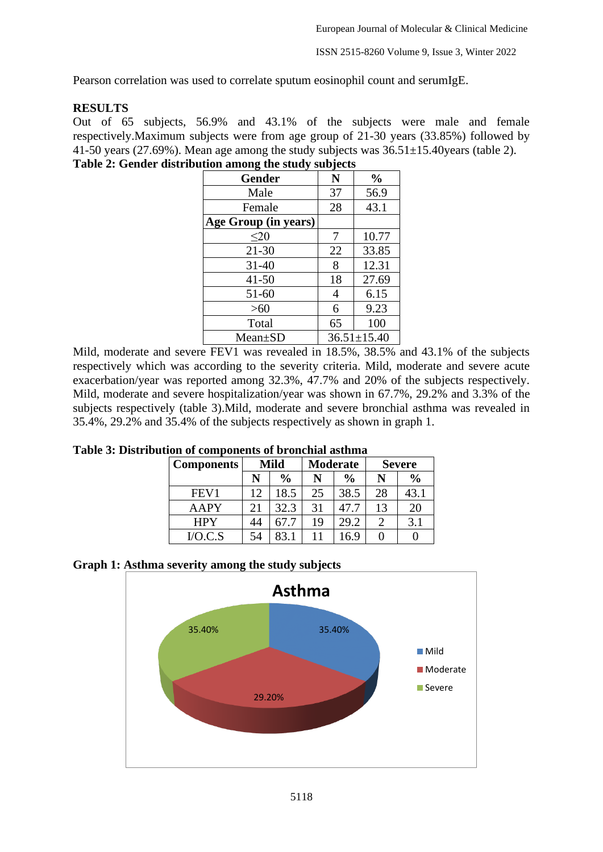Pearson correlation was used to correlate sputum eosinophil count and serumIgE.

### **RESULTS**

Out of 65 subjects, 56.9% and 43.1% of the subjects were male and female respectively.Maximum subjects were from age group of 21-30 years (33.85%) followed by 41-50 years (27.69%). Mean age among the study subjects was  $36.51\pm15.40$  years (table 2). **Table 2: Gender distribution among the study subjects**

| <b>Gender</b>        | N                 | $\frac{0}{0}$ |
|----------------------|-------------------|---------------|
| Male                 | 37                | 56.9          |
| Female               | 28                | 43.1          |
| Age Group (in years) |                   |               |
| $<$ 20               | 7                 | 10.77         |
| $21 - 30$            | 22                | 33.85         |
| $31 - 40$            | 8                 | 12.31         |
| $41 - 50$            | 18                | 27.69         |
| 51-60                | $\overline{4}$    | 6.15          |
| >60                  | 6                 | 9.23          |
| Total                | 65                | 100           |
| $Mean \pm SD$        | $36.51 \pm 15.40$ |               |

Mild, moderate and severe FEV1 was revealed in 18.5%, 38.5% and 43.1% of the subjects respectively which was according to the severity criteria. Mild, moderate and severe acute exacerbation/year was reported among 32.3%, 47.7% and 20% of the subjects respectively. Mild, moderate and severe hospitalization/year was shown in 67.7%, 29.2% and 3.3% of the subjects respectively (table 3).Mild, moderate and severe bronchial asthma was revealed in 35.4%, 29.2% and 35.4% of the subjects respectively as shown in graph 1.

|  |  | Table 3: Distribution of components of bronchial asthma |
|--|--|---------------------------------------------------------|
|--|--|---------------------------------------------------------|

| <b>Components</b> | Mild |               | <b>Moderate</b> |               | <b>Severe</b> |               |
|-------------------|------|---------------|-----------------|---------------|---------------|---------------|
|                   | N    | $\frac{0}{0}$ |                 | $\frac{0}{0}$ |               | $\frac{0}{0}$ |
| FEV1              | 12   | 18.5          | 25              | 38.5          | 28            | 43.1          |
| <b>AAPY</b>       | 21   | 32.3          | 31              | 47.7          | 13            | 20            |
| <b>HPY</b>        | 44   | 67.7          | 19              | 29.2          |               | 3.1           |
| $VO.C.S$          | 54   | 83.1          | 11              | 6.9           |               |               |

**Graph 1: Asthma severity among the study subjects**

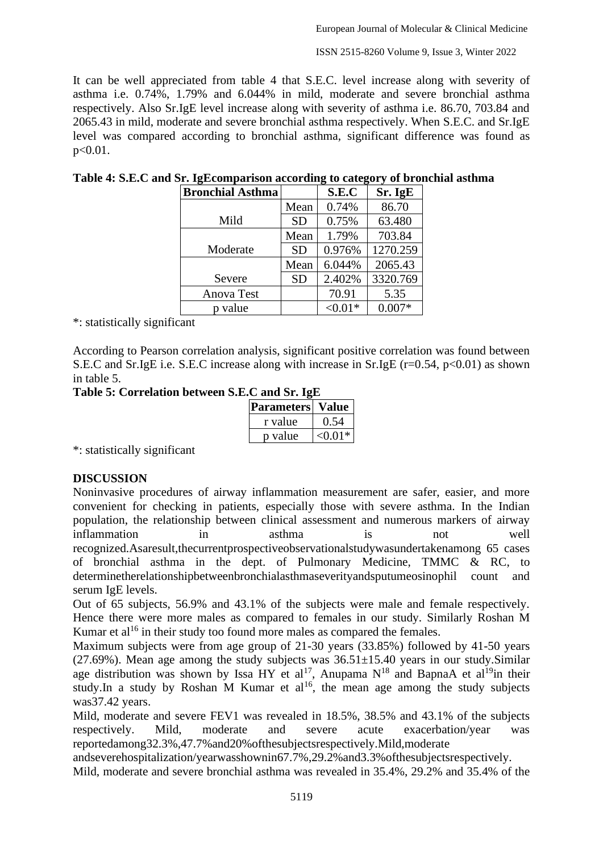It can be well appreciated from table 4 that S.E.C. level increase along with severity of asthma i.e. 0.74%, 1.79% and 6.044% in mild, moderate and severe bronchial asthma respectively. Also Sr.IgE level increase along with severity of asthma i.e. 86.70, 703.84 and 2065.43 in mild, moderate and severe bronchial asthma respectively. When S.E.C. and Sr.IgE level was compared according to bronchial asthma, significant difference was found as p<0.01.

| <b>Bronchial Asthma</b> |           | S.E.C     | Sr. IgE  |
|-------------------------|-----------|-----------|----------|
|                         | Mean      | 0.74%     | 86.70    |
| Mild                    | <b>SD</b> | 0.75%     | 63.480   |
|                         | Mean      | 1.79%     | 703.84   |
| Moderate                | <b>SD</b> | 0.976%    | 1270.259 |
|                         | Mean      | 6.044%    | 2065.43  |
| Severe                  | <b>SD</b> | 2.402%    | 3320.769 |
| Anova Test              |           | 70.91     | 5.35     |
| p value                 |           | $< 0.01*$ | $0.007*$ |

### **Table 4: S.E.C and Sr. IgEcomparison according to category of bronchial asthma**

\*: statistically significant

According to Pearson correlation analysis, significant positive correlation was found between S.E.C and Sr.IgE i.e. S.E.C increase along with increase in Sr.IgE (r=0.54, p<0.01) as shown in table 5.

## **Table 5: Correlation between S.E.C and Sr. IgE**

| <b>Parameters</b> | Value  |
|-------------------|--------|
| r value           | (154   |
| n value           | <በ በ1* |

\*: statistically significant

#### **DISCUSSION**

Noninvasive procedures of airway inflammation measurement are safer, easier, and more convenient for checking in patients, especially those with severe asthma. In the Indian population, the relationship between clinical assessment and numerous markers of airway inflammation in asthma is not well recognized.Asaresult,thecurrentprospectiveobservationalstudywasundertakenamong 65 cases of bronchial asthma in the dept. of Pulmonary Medicine, TMMC & RC, to determinetherelationshipbetweenbronchialasthmaseverityandsputumeosinophil count and serum IgE levels.

Out of 65 subjects, 56.9% and 43.1% of the subjects were male and female respectively. Hence there were more males as compared to females in our study. Similarly Roshan M Kumar et al<sup>16</sup> in their study too found more males as compared the females.

Maximum subjects were from age group of 21-30 years (33.85%) followed by 41-50 years (27.69%). Mean age among the study subjects was  $36.51 \pm 15.40$  years in our study. Similar age distribution was shown by Issa HY et al<sup>17</sup>, Anupama  $N^{18}$  and BapnaA et al<sup>19</sup>in their study. In a study by Roshan M Kumar et al<sup>16</sup>, the mean age among the study subjects was37.42 years.

Mild, moderate and severe FEV1 was revealed in 18.5%, 38.5% and 43.1% of the subjects respectively. Mild, moderate and severe acute exacerbation/year was reportedamong32.3%,47.7%and20%ofthesubjectsrespectively.Mild,moderate

andseverehospitalization/yearwasshownin67.7%,29.2%and3.3%ofthesubjectsrespectively. Mild, moderate and severe bronchial asthma was revealed in 35.4%, 29.2% and 35.4% of the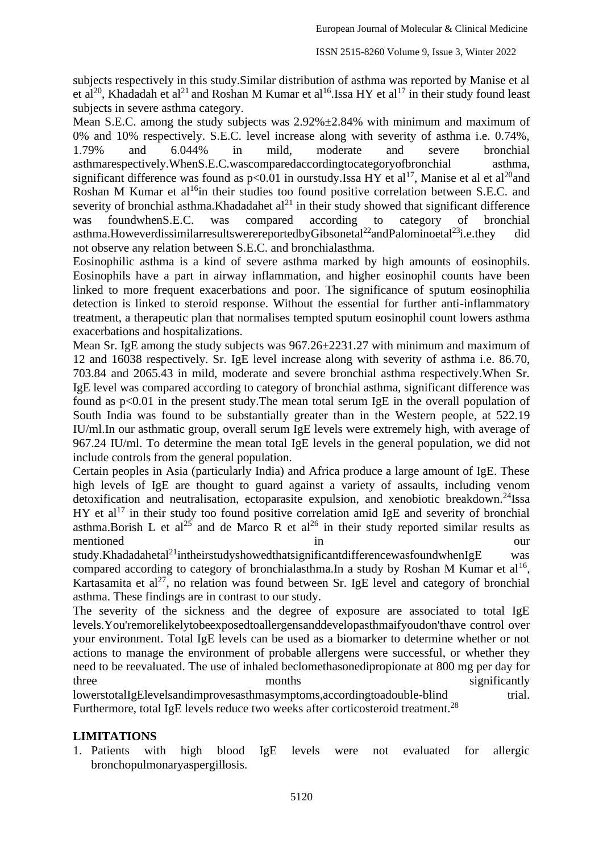subjects respectively in this study.Similar distribution of asthma was reported by Manise et al et al<sup>20</sup>, Khadadah et al<sup>21</sup> and Roshan M Kumar et al<sup>16</sup>. Issa HY et al<sup>17</sup> in their study found least subjects in severe asthma category.

Mean S.E.C. among the study subjects was  $2.92\% \pm 2.84\%$  with minimum and maximum of 0% and 10% respectively. S.E.C. level increase along with severity of asthma i.e. 0.74%, 1.79% and 6.044% in mild, moderate and severe bronchial asthmarespectively.WhenS.E.C.wascomparedaccordingtocategoryofbronchial asthma, significant difference was found as  $p<0.01$  in ourstudy.Issa HY et al<sup>17</sup>, Manise et al et al<sup>20</sup> and Roshan M Kumar et al<sup>16</sup>in their studies too found positive correlation between S.E.C. and severity of bronchial asthma. Khadadahet  $al<sup>21</sup>$  in their study showed that significant difference was foundwhenS.E.C. was compared according to category of bronchial asthma. HoweverdissimilarresultswerereportedbyGibsonetal<sup>22</sup>andPalominoetal<sup>23</sup>i.e.they did not observe any relation between S.E.C. and bronchialasthma.

Eosinophilic asthma is a kind of severe asthma marked by high amounts of eosinophils. Eosinophils have a part in airway inflammation, and higher eosinophil counts have been linked to more frequent exacerbations and poor. The significance of sputum eosinophilia detection is linked to steroid response. Without the essential for further anti-inflammatory treatment, a therapeutic plan that normalises tempted sputum eosinophil count lowers asthma exacerbations and hospitalizations.

Mean Sr. IgE among the study subjects was 967.26±2231.27 with minimum and maximum of 12 and 16038 respectively. Sr. IgE level increase along with severity of asthma i.e. 86.70, 703.84 and 2065.43 in mild, moderate and severe bronchial asthma respectively.When Sr. IgE level was compared according to category of bronchial asthma, significant difference was found as p<0.01 in the present study.The mean total serum IgE in the overall population of South India was found to be substantially greater than in the Western people, at 522.19 IU/ml.In our asthmatic group, overall serum IgE levels were extremely high, with average of 967.24 IU/ml. To determine the mean total IgE levels in the general population, we did not include controls from the general population.

Certain peoples in Asia (particularly India) and Africa produce a large amount of IgE. These high levels of IgE are thought to guard against a variety of assaults, including venom detoxification and neutralisation, ectoparasite expulsion, and xenobiotic breakdown.<sup>24</sup>Issa  $HY$  et al<sup>17</sup> in their study too found positive correlation amid IgE and severity of bronchial asthma.Borish L et al<sup>25</sup> and de Marco R et al<sup>26</sup> in their study reported similar results as mentioned in our

study.Khadadahetal<sup>21</sup>intheirstudyshowedthatsignificantdifferencewasfoundwhenIgE was compared according to category of bronchialasthma. In a study by Roshan M Kumar et al<sup>16</sup>, Kartasamita et al<sup>27</sup>, no relation was found between Sr. IgE level and category of bronchial asthma. These findings are in contrast to our study.

The severity of the sickness and the degree of exposure are associated to total IgE levels.You'remorelikelytobeexposedtoallergensanddevelopasthmaifyoudon'thave control over your environment. Total IgE levels can be used as a biomarker to determine whether or not actions to manage the environment of probable allergens were successful, or whether they need to be reevaluated. The use of inhaled beclomethasonedipropionate at 800 mg per day for three months months significantly

lowerstotalIgElevelsandimprovesasthmasymptoms,accordingtoadouble-blind trial. Furthermore, total IgE levels reduce two weeks after corticosteroid treatment.<sup>28</sup>

## **LIMITATIONS**

1. Patients with high blood IgE levels were not evaluated for allergic bronchopulmonaryaspergillosis.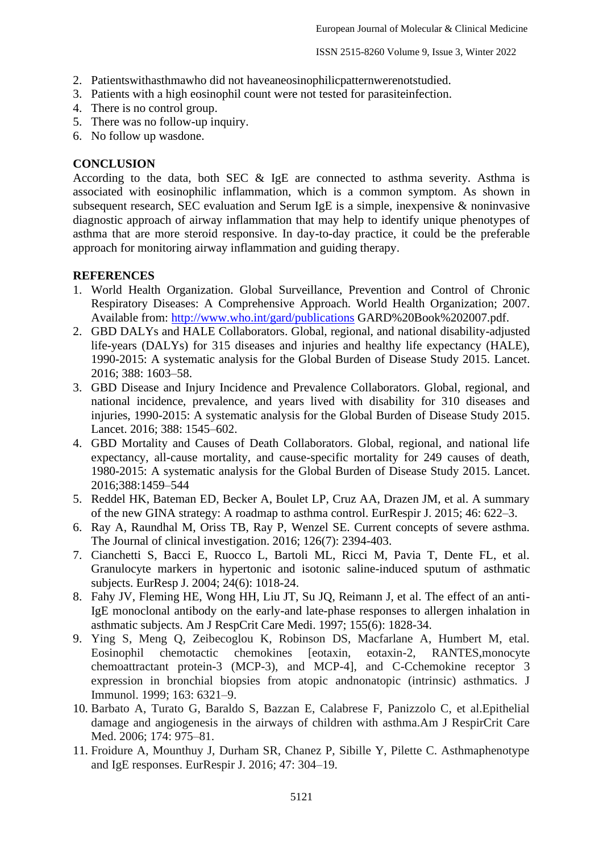- 2. Patientswithasthmawho did not haveaneosinophilicpatternwerenotstudied.
- 3. Patients with a high eosinophil count were not tested for parasiteinfection.
- 4. There is no control group.
- 5. There was no follow-up inquiry.
- 6. No follow up wasdone.

### **CONCLUSION**

According to the data, both SEC  $\&$  IgE are connected to asthma severity. Asthma is associated with eosinophilic inflammation, which is a common symptom. As shown in subsequent research, SEC evaluation and Serum IgE is a simple, inexpensive & noninvasive diagnostic approach of airway inflammation that may help to identify unique phenotypes of asthma that are more steroid responsive. In day-to-day practice, it could be the preferable approach for monitoring airway inflammation and guiding therapy.

#### **REFERENCES**

- 1. World Health Organization. Global Surveillance, Prevention and Control of Chronic Respiratory Diseases: A Comprehensive Approach. World Health Organization; 2007. Available from:<http://www.who.int/gard/publications> GARD%20Book%202007.pdf.
- 2. GBD DALYs and HALE Collaborators. Global, regional, and national disability-adjusted life-years (DALYs) for 315 diseases and injuries and healthy life expectancy (HALE), 1990-2015: A systematic analysis for the Global Burden of Disease Study 2015. Lancet. 2016; 388: 1603–58.
- 3. GBD Disease and Injury Incidence and Prevalence Collaborators. Global, regional, and national incidence, prevalence, and years lived with disability for 310 diseases and injuries, 1990-2015: A systematic analysis for the Global Burden of Disease Study 2015. Lancet. 2016; 388: 1545–602.
- 4. GBD Mortality and Causes of Death Collaborators. Global, regional, and national life expectancy, all-cause mortality, and cause-specific mortality for 249 causes of death, 1980-2015: A systematic analysis for the Global Burden of Disease Study 2015. Lancet. 2016;388:1459–544
- 5. Reddel HK, Bateman ED, Becker A, Boulet LP, Cruz AA, Drazen JM, et al. A summary of the new GINA strategy: A roadmap to asthma control. EurRespir J. 2015; 46: 622–3.
- 6. Ray A, Raundhal M, Oriss TB, Ray P, Wenzel SE. Current concepts of severe asthma. The Journal of clinical investigation. 2016; 126(7): 2394-403.
- 7. Cianchetti S, Bacci E, Ruocco L, Bartoli ML, Ricci M, Pavia T, Dente FL, et al. Granulocyte markers in hypertonic and isotonic saline-induced sputum of asthmatic subjects. EurResp J. 2004; 24(6): 1018-24.
- 8. Fahy JV, Fleming HE, Wong HH, Liu JT, Su JQ, Reimann J, et al. The effect of an anti-IgE monoclonal antibody on the early-and late-phase responses to allergen inhalation in asthmatic subjects. Am J RespCrit Care Medi. 1997; 155(6): 1828-34.
- 9. Ying S, Meng Q, Zeibecoglou K, Robinson DS, Macfarlane A, Humbert M, etal.<br>Eosinophil chemotactic chemokines [eotaxin, eotaxin-2, RANTES, monocyte Eosinophil chemotactic chemokines [eotaxin, eotaxin-2, RANTES,monocyte chemoattractant protein-3 (MCP-3), and MCP-4], and C-Cchemokine receptor 3 expression in bronchial biopsies from atopic andnonatopic (intrinsic) asthmatics. J Immunol. 1999; 163: 6321–9.
- 10. Barbato A, Turato G, Baraldo S, Bazzan E, Calabrese F, Panizzolo C, et al.Epithelial damage and angiogenesis in the airways of children with asthma.Am J RespirCrit Care Med. 2006; 174: 975–81.
- 11. Froidure A, Mounthuy J, Durham SR, Chanez P, Sibille Y, Pilette C. Asthmaphenotype and IgE responses. EurRespir J. 2016; 47: 304–19.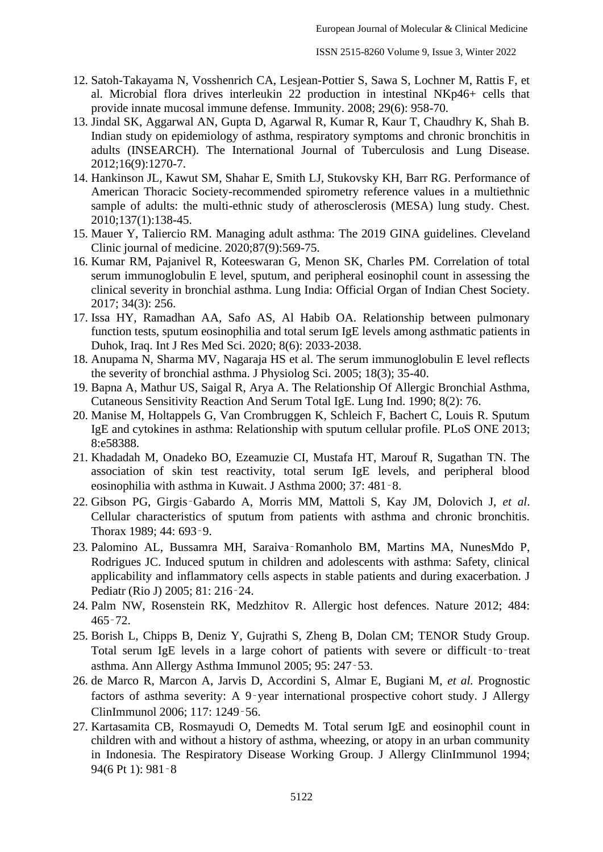- 12. Satoh-Takayama N, Vosshenrich CA, Lesjean-Pottier S, Sawa S, Lochner M, Rattis F, et al. Microbial flora drives interleukin 22 production in intestinal NKp46+ cells that provide innate mucosal immune defense. Immunity. 2008; 29(6): 958-70.
- 13. Jindal SK, Aggarwal AN, Gupta D, Agarwal R, Kumar R, Kaur T, Chaudhry K, Shah B. Indian study on epidemiology of asthma, respiratory symptoms and chronic bronchitis in adults (INSEARCH). The International Journal of Tuberculosis and Lung Disease. 2012;16(9):1270-7.
- 14. Hankinson JL, Kawut SM, Shahar E, Smith LJ, Stukovsky KH, Barr RG. Performance of American Thoracic Society-recommended spirometry reference values in a multiethnic sample of adults: the multi-ethnic study of atherosclerosis (MESA) lung study. Chest. 2010;137(1):138-45.
- 15. Mauer Y, Taliercio RM. Managing adult asthma: The 2019 GINA guidelines. Cleveland Clinic journal of medicine. 2020;87(9):569-75.
- 16. Kumar RM, Pajanivel R, Koteeswaran G, Menon SK, Charles PM. Correlation of total serum immunoglobulin E level, sputum, and peripheral eosinophil count in assessing the clinical severity in bronchial asthma. Lung India: Official Organ of Indian Chest Society. 2017; 34(3): 256.
- 17. Issa HY, Ramadhan AA, Safo AS, Al Habib OA. Relationship between pulmonary function tests, sputum eosinophilia and total serum IgE levels among asthmatic patients in Duhok, Iraq. Int J Res Med Sci. 2020; 8(6): 2033-2038.
- 18. Anupama N, Sharma MV, Nagaraja HS et al. The serum immunoglobulin E level reflects the severity of bronchial asthma. J Physiolog Sci. 2005; 18(3); 35-40.
- 19. Bapna A, Mathur US, Saigal R, Arya A. The Relationship Of Allergic Bronchial Asthma, Cutaneous Sensitivity Reaction And Serum Total IgE. Lung Ind. 1990; 8(2): 76.
- 20. Manise M, Holtappels G, Van Crombruggen K, Schleich F, Bachert C, Louis R. Sputum IgE and cytokines in asthma: Relationship with sputum cellular profile. PLoS ONE 2013; 8:e58388.
- 21. Khadadah M, Onadeko BO, Ezeamuzie CI, Mustafa HT, Marouf R, Sugathan TN. The association of skin test reactivity, total serum IgE levels, and peripheral blood eosinophilia with asthma in Kuwait. J Asthma 2000; 37: 481‑8.
- 22. Gibson PG, Girgis‑Gabardo A, Morris MM, Mattoli S, Kay JM, Dolovich J, *et al*. Cellular characteristics of sputum from patients with asthma and chronic bronchitis. Thorax 1989; 44: 693‑9.
- 23. Palomino AL, Bussamra MH, Saraiva‑Romanholo BM, Martins MA, NunesMdo P, Rodrigues JC. Induced sputum in children and adolescents with asthma: Safety, clinical applicability and inflammatory cells aspects in stable patients and during exacerbation. J Pediatr (Rio J) 2005; 81: 216‑24.
- 24. Palm NW, Rosenstein RK, Medzhitov R. Allergic host defences. Nature 2012; 484:  $465 - 72$ .
- 25. Borish L, Chipps B, Deniz Y, Gujrathi S, Zheng B, Dolan CM; TENOR Study Group. Total serum IgE levels in a large cohort of patients with severe or difficult-to-treat asthma. Ann Allergy Asthma Immunol 2005; 95: 247‑53.
- 26. de Marco R, Marcon A, Jarvis D, Accordini S, Almar E, Bugiani M, *et al.* Prognostic factors of asthma severity: A 9‑year international prospective cohort study. J Allergy ClinImmunol 2006; 117: 1249‑56.
- 27. Kartasamita CB, Rosmayudi O, Demedts M. Total serum IgE and eosinophil count in children with and without a history of asthma, wheezing, or atopy in an urban community in Indonesia. The Respiratory Disease Working Group. J Allergy ClinImmunol 1994; 94(6 Pt 1): 981‑8